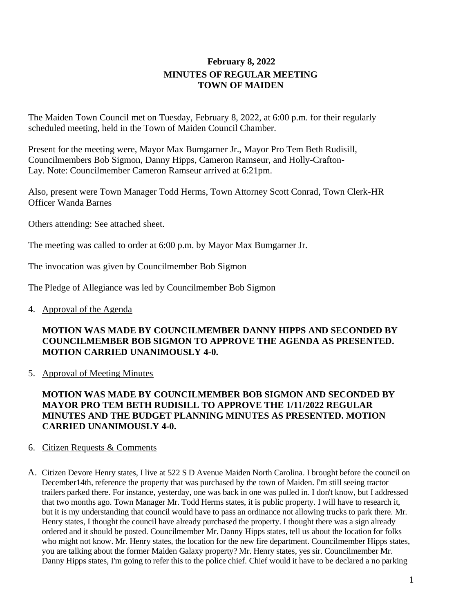# **February 8, 2022 MINUTES OF REGULAR MEETING TOWN OF MAIDEN**

The Maiden Town Council met on Tuesday, February 8, 2022, at 6:00 p.m. for their regularly scheduled meeting, held in the Town of Maiden Council Chamber.

Present for the meeting were, Mayor Max Bumgarner Jr., Mayor Pro Tem Beth Rudisill, Councilmembers Bob Sigmon, Danny Hipps, Cameron Ramseur, and Holly-Crafton-Lay. Note: Councilmember Cameron Ramseur arrived at 6:21pm.

Also, present were Town Manager Todd Herms, Town Attorney Scott Conrad, Town Clerk-HR Officer Wanda Barnes

Others attending: See attached sheet.

The meeting was called to order at 6:00 p.m. by Mayor Max Bumgarner Jr.

The invocation was given by Councilmember Bob Sigmon

The Pledge of Allegiance was led by Councilmember Bob Sigmon

4. Approval of the Agenda

## **MOTION WAS MADE BY COUNCILMEMBER DANNY HIPPS AND SECONDED BY COUNCILMEMBER BOB SIGMON TO APPROVE THE AGENDA AS PRESENTED. MOTION CARRIED UNANIMOUSLY 4-0.**

5. Approval of Meeting Minutes

## **MOTION WAS MADE BY COUNCILMEMBER BOB SIGMON AND SECONDED BY MAYOR PRO TEM BETH RUDISILL TO APPROVE THE 1/11/2022 REGULAR MINUTES AND THE BUDGET PLANNING MINUTES AS PRESENTED. MOTION CARRIED UNANIMOUSLY 4-0.**

### 6. Citizen Requests & Comments

A. Citizen Devore Henry states, I live at 522 S D Avenue Maiden North Carolina. I brought before the council on December14th, reference the property that was purchased by the town of Maiden. I'm still seeing tractor trailers parked there. For instance, yesterday, one was back in one was pulled in. I don't know, but I addressed that two months ago. Town Manager Mr. Todd Herms states, it is public property. I will have to research it, but it is my understanding that council would have to pass an ordinance not allowing trucks to park there. Mr. Henry states, I thought the council have already purchased the property. I thought there was a sign already ordered and it should be posted. Councilmember Mr. Danny Hipps states, tell us about the location for folks who might not know. Mr. Henry states, the location for the new fire department. Councilmember Hipps states, you are talking about the former Maiden Galaxy property? Mr. Henry states, yes sir. Councilmember Mr. Danny Hipps states, I'm going to refer this to the police chief. Chief would it have to be declared a no parking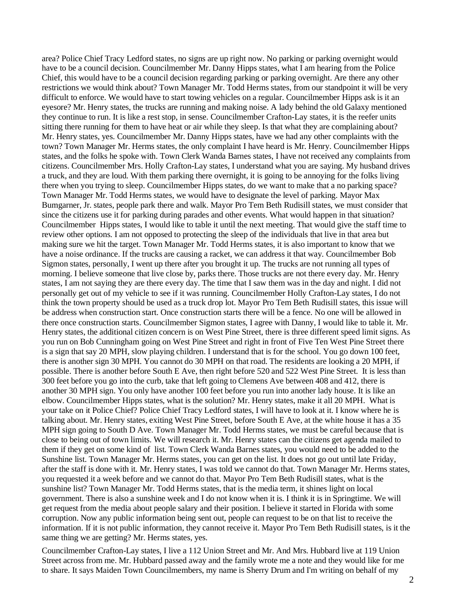area? Police Chief Tracy Ledford states, no signs are up right now. No parking or parking overnight would have to be a council decision. Councilmember Mr. Danny Hipps states, what I am hearing from the Police Chief, this would have to be a council decision regarding parking or parking overnight. Are there any other restrictions we would think about? Town Manager Mr. Todd Herms states, from our standpoint it will be very difficult to enforce. We would have to start towing vehicles on a regular. Councilmember Hipps ask is it an eyesore? Mr. Henry states, the trucks are running and making noise. A lady behind the old Galaxy mentioned they continue to run. It is like a rest stop, in sense. Councilmember Crafton-Lay states, it is the reefer units sitting there running for them to have heat or air while they sleep. Is that what they are complaining about? Mr. Henry states, yes. Councilmember Mr. Danny Hipps states, have we had any other complaints with the town? Town Manager Mr. Herms states, the only complaint I have heard is Mr. Henry. Councilmember Hipps states, and the folks he spoke with. Town Clerk Wanda Barnes states, I have not received any complaints from citizens. Councilmember Mrs. Holly Crafton-Lay states, I understand what you are saying. My husband drives a truck, and they are loud. With them parking there overnight, it is going to be annoying for the folks living there when you trying to sleep. Councilmember Hipps states, do we want to make that a no parking space? Town Manager Mr. Todd Herms states, we would have to designate the level of parking. Mayor Max Bumgarner, Jr. states, people park there and walk. Mayor Pro Tem Beth Rudisill states, we must consider that since the citizens use it for parking during parades and other events. What would happen in that situation? Councilmember Hipps states, I would like to table it until the next meeting. That would give the staff time to review other options. I am not opposed to protecting the sleep of the individuals that live in that area but making sure we hit the target. Town Manager Mr. Todd Herms states, it is also important to know that we have a noise ordinance. If the trucks are causing a racket, we can address it that way. Councilmember Bob Sigmon states, personally, I went up there after you brought it up. The trucks are not running all types of morning. I believe someone that live close by, parks there. Those trucks are not there every day. Mr. Henry states, I am not saying they are there every day. The time that I saw them was in the day and night. I did not personally get out of my vehicle to see if it was running. Councilmember Holly Crafton-Lay states, I do not think the town property should be used as a truck drop lot. Mayor Pro Tem Beth Rudisill states, this issue will be address when construction start. Once construction starts there will be a fence. No one will be allowed in there once construction starts. Councilmember Sigmon states, I agree with Danny, I would like to table it. Mr. Henry states, the additional citizen concern is on West Pine Street, there is three different speed limit signs. As you run on Bob Cunningham going on West Pine Street and right in front of Five Ten West Pine Street there is a sign that say 20 MPH, slow playing children. I understand that is for the school. You go down 100 feet, there is another sign 30 MPH. You cannot do 30 MPH on that road. The residents are looking a 20 MPH, if possible. There is another before South E Ave, then right before 520 and 522 West Pine Street. It is less than 300 feet before you go into the curb, take that left going to Clemens Ave between 408 and 412, there is another 30 MPH sign. You only have another 100 feet before you run into another lady house. It is like an elbow. Councilmember Hipps states, what is the solution? Mr. Henry states, make it all 20 MPH. What is your take on it Police Chief? Police Chief Tracy Ledford states, I will have to look at it. I know where he is talking about. Mr. Henry states, exiting West Pine Street, before South E Ave, at the white house it has a 35 MPH sign going to South D Ave. Town Manager Mr. Todd Herms states, we must be careful because that is close to being out of town limits. We will research it. Mr. Henry states can the citizens get agenda mailed to them if they get on some kind of list. Town Clerk Wanda Barnes states, you would need to be added to the Sunshine list. Town Manager Mr. Herms states, you can get on the list. It does not go out until late Friday, after the staff is done with it. Mr. Henry states, I was told we cannot do that. Town Manager Mr. Herms states, you requested it a week before and we cannot do that. Mayor Pro Tem Beth Rudisill states, what is the sunshine list? Town Manager Mr. Todd Herms states, that is the media term, it shines light on local government. There is also a sunshine week and I do not know when it is. I think it is in Springtime. We will get request from the media about people salary and their position. I believe it started in Florida with some corruption. Now any public information being sent out, people can request to be on that list to receive the information. If it is not public information, they cannot receive it. Mayor Pro Tem Beth Rudisill states, is it the same thing we are getting? Mr. Herms states, yes.

Councilmember Crafton-Lay states, I live a 112 Union Street and Mr. And Mrs. Hubbard live at 119 Union Street across from me. Mr. Hubbard passed away and the family wrote me a note and they would like for me to share. It says Maiden Town Councilmembers, my name is Sherry Drum and I'm writing on behalf of my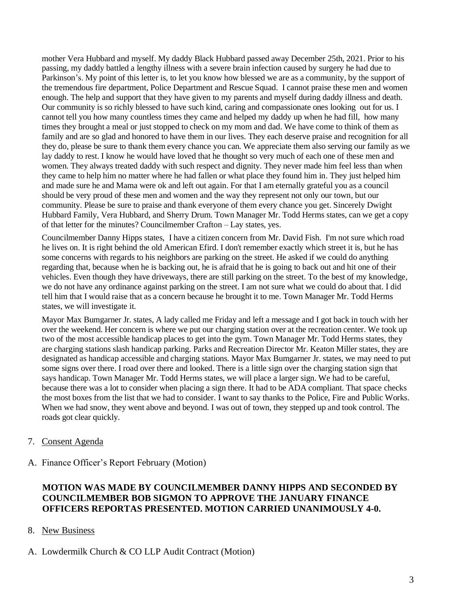mother Vera Hubbard and myself. My daddy Black Hubbard passed away December 25th, 2021. Prior to his passing, my daddy battled a lengthy illness with a severe brain infection caused by surgery he had due to Parkinson's. My point of this letter is, to let you know how blessed we are as a community, by the support of the tremendous fire department, Police Department and Rescue Squad. I cannot praise these men and women enough. The help and support that they have given to my parents and myself during daddy illness and death. Our community is so richly blessed to have such kind, caring and compassionate ones looking out for us. I cannot tell you how many countless times they came and helped my daddy up when he had fill, how many times they brought a meal or just stopped to check on my mom and dad. We have come to think of them as family and are so glad and honored to have them in our lives. They each deserve praise and recognition for all they do, please be sure to thank them every chance you can. We appreciate them also serving our family as we lay daddy to rest. I know he would have loved that he thought so very much of each one of these men and women. They always treated daddy with such respect and dignity. They never made him feel less than when they came to help him no matter where he had fallen or what place they found him in. They just helped him and made sure he and Mama were ok and left out again. For that I am eternally grateful you as a council should be very proud of these men and women and the way they represent not only our town, but our community. Please be sure to praise and thank everyone of them every chance you get. Sincerely Dwight Hubbard Family, Vera Hubbard, and Sherry Drum. Town Manager Mr. Todd Herms states, can we get a copy of that letter for the minutes? Councilmember Crafton – Lay states, yes.

Councilmember Danny Hipps states, I have a citizen concern from Mr. David Fish. I'm not sure which road he lives on. It is right behind the old American Efird. I don't remember exactly which street it is, but he has some concerns with regards to his neighbors are parking on the street. He asked if we could do anything regarding that, because when he is backing out, he is afraid that he is going to back out and hit one of their vehicles. Even though they have driveways, there are still parking on the street. To the best of my knowledge, we do not have any ordinance against parking on the street. I am not sure what we could do about that. I did tell him that I would raise that as a concern because he brought it to me. Town Manager Mr. Todd Herms states, we will investigate it.

Mayor Max Bumgarner Jr. states, A lady called me Friday and left a message and I got back in touch with her over the weekend. Her concern is where we put our charging station over at the recreation center. We took up two of the most accessible handicap places to get into the gym. Town Manager Mr. Todd Herms states, they are charging stations slash handicap parking. Parks and Recreation Director Mr. Keaton Miller states, they are designated as handicap accessible and charging stations. Mayor Max Bumgarner Jr. states, we may need to put some signs over there. I road over there and looked. There is a little sign over the charging station sign that says handicap. Town Manager Mr. Todd Herms states, we will place a larger sign. We had to be careful, because there was a lot to consider when placing a sign there. It had to be ADA compliant. That space checks the most boxes from the list that we had to consider. I want to say thanks to the Police, Fire and Public Works. When we had snow, they went above and beyond. I was out of town, they stepped up and took control. The roads got clear quickly.

### 7. Consent Agenda

#### A. Finance Officer's Report February (Motion)

### **MOTION WAS MADE BY COUNCILMEMBER DANNY HIPPS AND SECONDED BY COUNCILMEMBER BOB SIGMON TO APPROVE THE JANUARY FINANCE OFFICERS REPORTAS PRESENTED. MOTION CARRIED UNANIMOUSLY 4-0.**

- 8. New Business
- A. Lowdermilk Church & CO LLP Audit Contract (Motion)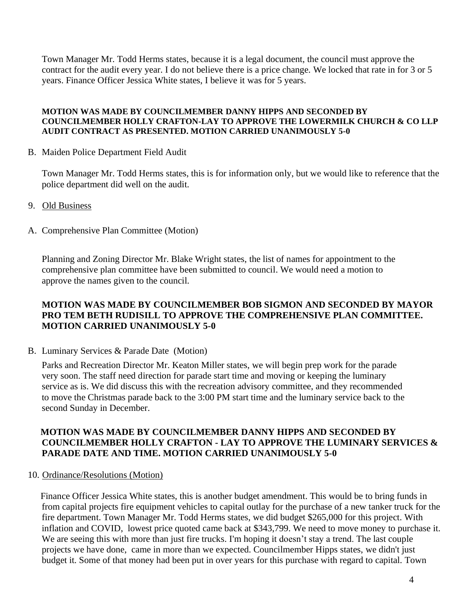Town Manager Mr. Todd Herms states, because it is a legal document, the council must approve the contract for the audit every year. I do not believe there is a price change. We locked that rate in for 3 or 5 years. Finance Officer Jessica White states, I believe it was for 5 years.

#### **MOTION WAS MADE BY COUNCILMEMBER DANNY HIPPS AND SECONDED BY COUNCILMEMBER HOLLY CRAFTON-LAY TO APPROVE THE LOWERMILK CHURCH & CO LLP AUDIT CONTRACT AS PRESENTED. MOTION CARRIED UNANIMOUSLY 5-0**

B. Maiden Police Department Field Audit

Town Manager Mr. Todd Herms states, this is for information only, but we would like to reference that the police department did well on the audit.

- 9. Old Business
- A. Comprehensive Plan Committee (Motion)

Planning and Zoning Director Mr. Blake Wright states, the list of names for appointment to the comprehensive plan committee have been submitted to council. We would need a motion to approve the names given to the council.

### **MOTION WAS MADE BY COUNCILMEMBER BOB SIGMON AND SECONDED BY MAYOR PRO TEM BETH RUDISILL TO APPROVE THE COMPREHENSIVE PLAN COMMITTEE. MOTION CARRIED UNANIMOUSLY 5-0**

B. Luminary Services & Parade Date (Motion)

Parks and Recreation Director Mr. Keaton Miller states, we will begin prep work for the parade very soon. The staff need direction for parade start time and moving or keeping the luminary service as is. We did discuss this with the recreation advisory committee, and they recommended to move the Christmas parade back to the 3:00 PM start time and the luminary service back to the second Sunday in December.

### **MOTION WAS MADE BY COUNCILMEMBER DANNY HIPPS AND SECONDED BY COUNCILMEMBER HOLLY CRAFTON - LAY TO APPROVE THE LUMINARY SERVICES & PARADE DATE AND TIME. MOTION CARRIED UNANIMOUSLY 5-0**

10. Ordinance/Resolutions (Motion)

 Finance Officer Jessica White states, this is another budget amendment. This would be to bring funds in from capital projects fire equipment vehicles to capital outlay for the purchase of a new tanker truck for the fire department. Town Manager Mr. Todd Herms states, we did budget \$265,000 for this project. With inflation and COVID, lowest price quoted came back at \$343,799. We need to move money to purchase it. We are seeing this with more than just fire trucks. I'm hoping it doesn't stay a trend. The last couple projects we have done, came in more than we expected. Councilmember Hipps states, we didn't just budget it. Some of that money had been put in over years for this purchase with regard to capital. Town